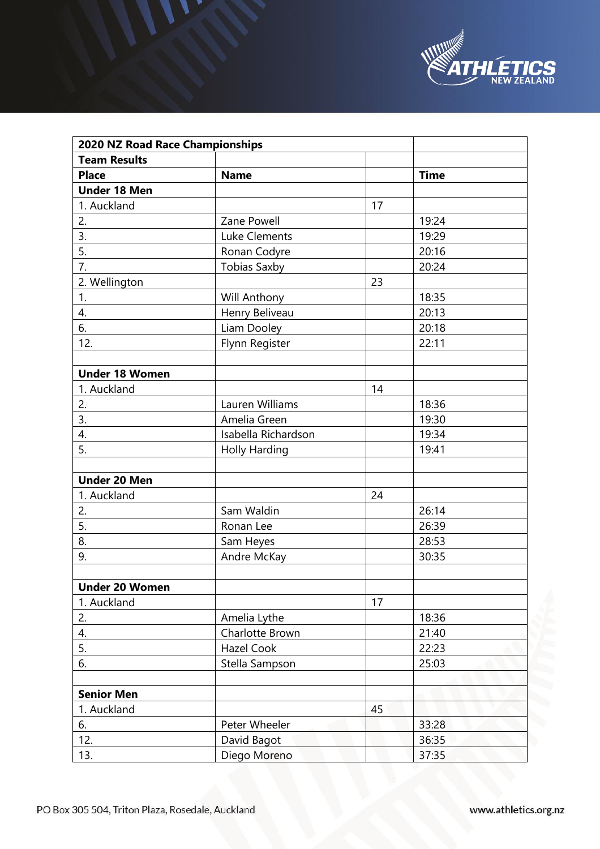

| 2020 NZ Road Race Championships |                      |    |             |  |  |
|---------------------------------|----------------------|----|-------------|--|--|
| <b>Team Results</b>             |                      |    |             |  |  |
| <b>Place</b>                    | <b>Name</b>          |    | <b>Time</b> |  |  |
| <b>Under 18 Men</b>             |                      |    |             |  |  |
| 1. Auckland                     |                      | 17 |             |  |  |
| 2.                              | Zane Powell          |    | 19:24       |  |  |
| 3.                              | Luke Clements        |    | 19:29       |  |  |
| 5.                              | Ronan Codyre         |    | 20:16       |  |  |
| 7.                              | <b>Tobias Saxby</b>  |    | 20:24       |  |  |
| 2. Wellington                   |                      | 23 |             |  |  |
| 1.                              | Will Anthony         |    | 18:35       |  |  |
| 4.                              | Henry Beliveau       |    | 20:13       |  |  |
| 6.                              | Liam Dooley          |    | 20:18       |  |  |
| 12.                             | Flynn Register       |    | 22:11       |  |  |
|                                 |                      |    |             |  |  |
| <b>Under 18 Women</b>           |                      |    |             |  |  |
| 1. Auckland                     |                      | 14 |             |  |  |
| 2.                              | Lauren Williams      |    | 18:36       |  |  |
| 3.                              | Amelia Green         |    | 19:30       |  |  |
| 4.                              | Isabella Richardson  |    | 19:34       |  |  |
| 5.                              | <b>Holly Harding</b> |    | 19:41       |  |  |
|                                 |                      |    |             |  |  |
| <b>Under 20 Men</b>             |                      |    |             |  |  |
| 1. Auckland                     |                      | 24 |             |  |  |
| 2.                              | Sam Waldin           |    | 26:14       |  |  |
| 5.                              | Ronan Lee            |    | 26:39       |  |  |
| 8.                              | Sam Heyes            |    | 28:53       |  |  |
| 9.                              | Andre McKay          |    | 30:35       |  |  |
|                                 |                      |    |             |  |  |
| <b>Under 20 Women</b>           |                      |    |             |  |  |
| 1. Auckland                     |                      | 17 |             |  |  |
| 2.                              | Amelia Lythe         |    | 18:36       |  |  |
| 4.                              | Charlotte Brown      |    | 21:40       |  |  |
| 5.                              | Hazel Cook           |    | 22:23       |  |  |
| 6.                              | Stella Sampson       |    | 25:03       |  |  |
|                                 |                      |    |             |  |  |
| <b>Senior Men</b>               |                      |    |             |  |  |
| 1. Auckland                     |                      | 45 |             |  |  |
| 6.                              | Peter Wheeler        |    | 33:28       |  |  |
| 12.                             | David Bagot          |    | 36:35       |  |  |
| 13.                             | Diego Moreno         |    | 37:35       |  |  |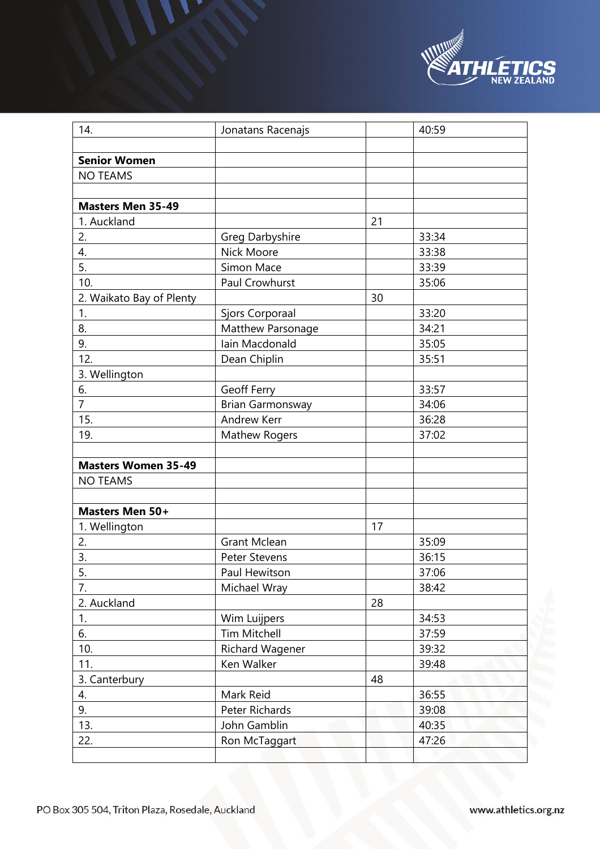

| 14.                        | Jonatans Racenajs       |    | 40:59 |
|----------------------------|-------------------------|----|-------|
|                            |                         |    |       |
| <b>Senior Women</b>        |                         |    |       |
| <b>NO TEAMS</b>            |                         |    |       |
|                            |                         |    |       |
| <b>Masters Men 35-49</b>   |                         |    |       |
| 1. Auckland                |                         | 21 |       |
| 2.                         | Greg Darbyshire         |    | 33:34 |
| 4.                         | Nick Moore              |    | 33:38 |
| 5.                         | Simon Mace              |    | 33:39 |
| 10.                        | Paul Crowhurst          |    | 35:06 |
| 2. Waikato Bay of Plenty   |                         | 30 |       |
| 1.                         | Sjors Corporaal         |    | 33:20 |
| 8.                         | Matthew Parsonage       |    | 34:21 |
| 9.                         | Iain Macdonald          |    | 35:05 |
| 12.                        | Dean Chiplin            |    | 35:51 |
| 3. Wellington              |                         |    |       |
| 6.                         | Geoff Ferry             |    | 33:57 |
| $\overline{7}$             | <b>Brian Garmonsway</b> |    | 34:06 |
| 15.                        | <b>Andrew Kerr</b>      |    | 36:28 |
| 19.                        | <b>Mathew Rogers</b>    |    | 37:02 |
|                            |                         |    |       |
| <b>Masters Women 35-49</b> |                         |    |       |
| <b>NO TEAMS</b>            |                         |    |       |
|                            |                         |    |       |
| Masters Men 50+            |                         |    |       |
| 1. Wellington              |                         | 17 |       |
| 2.                         | <b>Grant Mclean</b>     |    | 35:09 |
| 3.                         | <b>Peter Stevens</b>    |    | 36:15 |
| 5.                         | Paul Hewitson           |    | 37:06 |
| 7.                         | Michael Wray            |    | 38:42 |
| 2. Auckland                |                         | 28 |       |
| 1.                         | Wim Luijpers            |    | 34:53 |
| 6.                         | <b>Tim Mitchell</b>     |    | 37:59 |
| 10.                        | Richard Wagener         |    | 39:32 |
| 11.                        | Ken Walker              |    | 39:48 |
| 3. Canterbury              |                         | 48 |       |
| 4.                         | Mark Reid               |    | 36:55 |
| 9.                         | Peter Richards          |    | 39:08 |
| 13.                        | John Gamblin            |    | 40:35 |
| 22.                        | Ron McTaggart           |    | 47:26 |
|                            |                         |    |       |